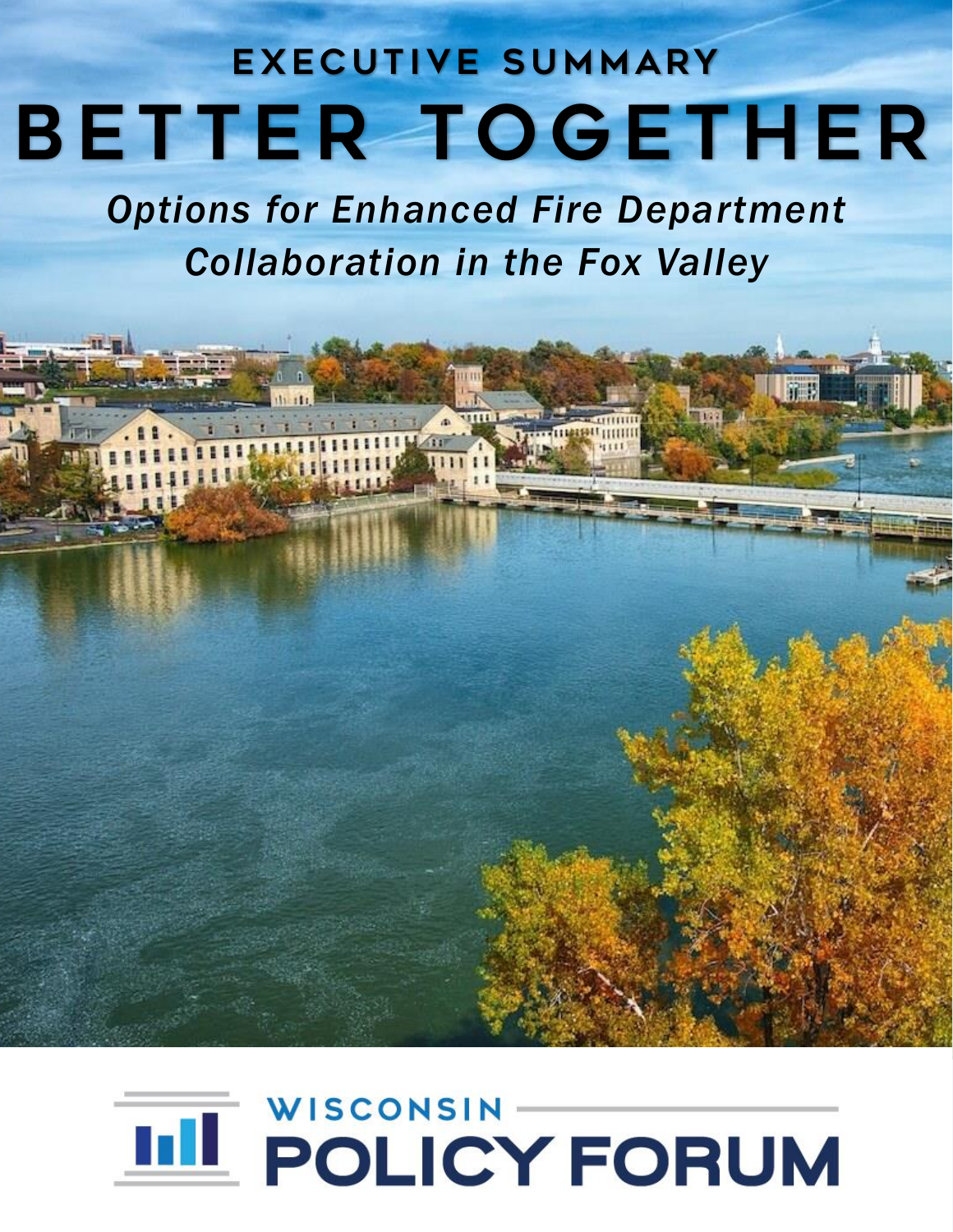# EXECUTIVE SUMMARY **BETTER TOGETHER**

*Options for Enhanced Fire Department Collaboration in the Fox Valley*

**TE** 

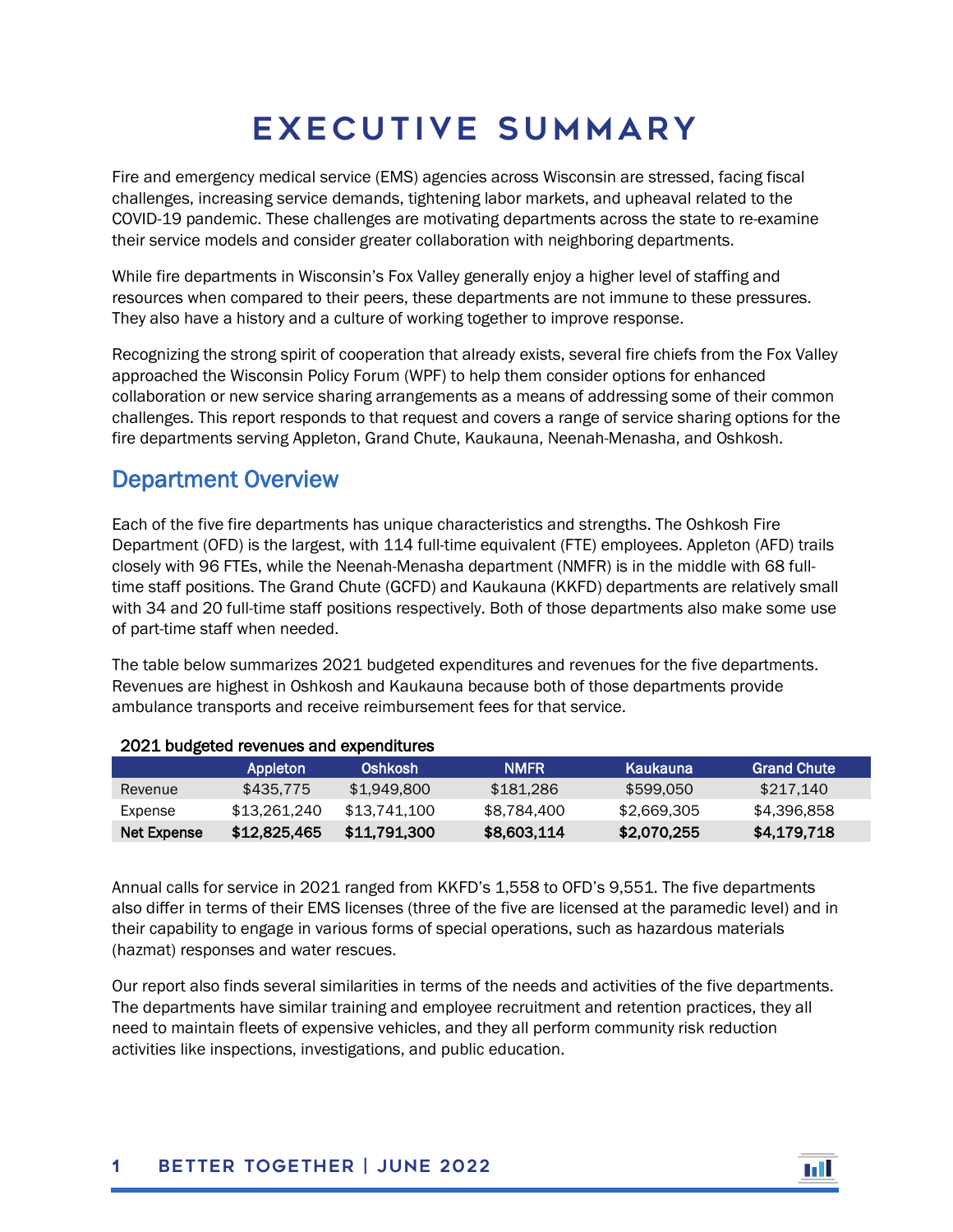## Executive Summary

Fire and emergency medical service (EMS) agencies across Wisconsin are stressed, facing fiscal challenges, increasing service demands, tightening labor markets, and upheaval related to the COVID-19 pandemic. These challenges are motivating departments across the state to re-examine their service models and consider greater collaboration with neighboring departments.

While fire departments in Wisconsin's Fox Valley generally enjoy a higher level of staffing and resources when compared to their peers, these departments are not immune to these pressures. They also have a history and a culture of working together to improve response.

Recognizing the strong spirit of cooperation that already exists, several fire chiefs from the Fox Valley approached the Wisconsin Policy Forum (WPF) to help them consider options for enhanced collaboration or new service sharing arrangements as a means of addressing some of their common challenges. This report responds to that request and covers a range of service sharing options for the fire departments serving Appleton, Grand Chute, Kaukauna, Neenah-Menasha, and Oshkosh.

## Department Overview

Each of the five fire departments has unique characteristics and strengths. The Oshkosh Fire Department (OFD) is the largest, with 114 full-time equivalent (FTE) employees. Appleton (AFD) trails closely with 96 FTEs, while the Neenah-Menasha department (NMFR) is in the middle with 68 fulltime staff positions. The Grand Chute (GCFD) and Kaukauna (KKFD) departments are relatively small with 34 and 20 full-time staff positions respectively. Both of those departments also make some use of part-time staff when needed.

The table below summarizes 2021 budgeted expenditures and revenues for the five departments. Revenues are highest in Oshkosh and Kaukauna because both of those departments provide ambulance transports and receive reimbursement fees for that service.

| ZUZI DUURULUU TUVUHUUS UHU UADUTUHUU US |              |              |             |             |                    |
|-----------------------------------------|--------------|--------------|-------------|-------------|--------------------|
|                                         | Appleton     | Oshkosh      | <b>NMFR</b> | Kaukauna    | <b>Grand Chute</b> |
| Revenue                                 | \$435,775    | \$1.949.800  | \$181.286   | \$599.050   | \$217.140          |
| Expense                                 | \$13.261.240 | \$13.741.100 | \$8.784.400 | \$2,669,305 | \$4,396,858        |
| Net Expense                             | \$12.825.465 | \$11.791.300 | \$8,603,114 | \$2,070.255 | \$4.179.718        |

#### 2021 budgeted revenues and expenditures

Annual calls for service in 2021 ranged from KKFD's 1,558 to OFD's 9,551. The five departments also differ in terms of their EMS licenses (three of the five are licensed at the paramedic level) and in their capability to engage in various forms of special operations, such as hazardous materials (hazmat) responses and water rescues.

Our report also finds several similarities in terms of the needs and activities of the five departments. The departments have similar training and employee recruitment and retention practices, they all need to maintain fleets of expensive vehicles, and they all perform community risk reduction activities like inspections, investigations, and public education.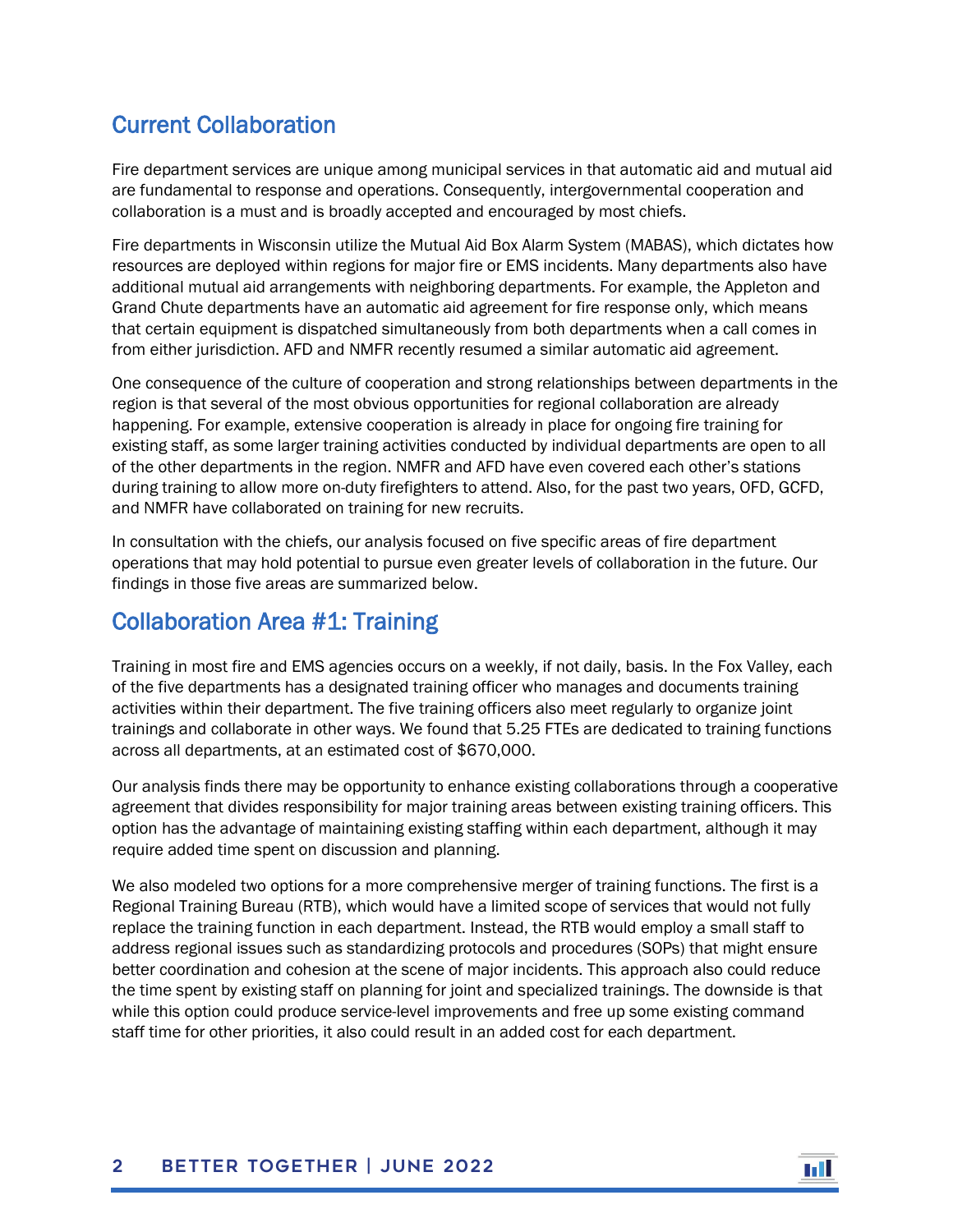## Current Collaboration

Fire department services are unique among municipal services in that automatic aid and mutual aid are fundamental to response and operations. Consequently, intergovernmental cooperation and collaboration is a must and is broadly accepted and encouraged by most chiefs.

Fire departments in Wisconsin utilize the Mutual Aid Box Alarm System (MABAS), which dictates how resources are deployed within regions for major fire or EMS incidents. Many departments also have additional mutual aid arrangements with neighboring departments. For example, the Appleton and Grand Chute departments have an automatic aid agreement for fire response only, which means that certain equipment is dispatched simultaneously from both departments when a call comes in from either jurisdiction. AFD and NMFR recently resumed a similar automatic aid agreement.

One consequence of the culture of cooperation and strong relationships between departments in the region is that several of the most obvious opportunities for regional collaboration are already happening. For example, extensive cooperation is already in place for ongoing fire training for existing staff, as some larger training activities conducted by individual departments are open to all of the other departments in the region. NMFR and AFD have even covered each other's stations during training to allow more on-duty firefighters to attend. Also, for the past two years, OFD, GCFD, and NMFR have collaborated on training for new recruits.

In consultation with the chiefs, our analysis focused on five specific areas of fire department operations that may hold potential to pursue even greater levels of collaboration in the future. Our findings in those five areas are summarized below.

## Collaboration Area #1: Training

Training in most fire and EMS agencies occurs on a weekly, if not daily, basis. In the Fox Valley, each of the five departments has a designated training officer who manages and documents training activities within their department. The five training officers also meet regularly to organize joint trainings and collaborate in other ways. We found that 5.25 FTEs are dedicated to training functions across all departments, at an estimated cost of \$670,000.

Our analysis finds there may be opportunity to enhance existing collaborations through a cooperative agreement that divides responsibility for major training areas between existing training officers. This option has the advantage of maintaining existing staffing within each department, although it may require added time spent on discussion and planning.

We also modeled two options for a more comprehensive merger of training functions. The first is a Regional Training Bureau (RTB), which would have a limited scope of services that would not fully replace the training function in each department. Instead, the RTB would employ a small staff to address regional issues such as standardizing protocols and procedures (SOPs) that might ensure better coordination and cohesion at the scene of major incidents. This approach also could reduce the time spent by existing staff on planning for joint and specialized trainings. The downside is that while this option could produce service-level improvements and free up some existing command staff time for other priorities, it also could result in an added cost for each department.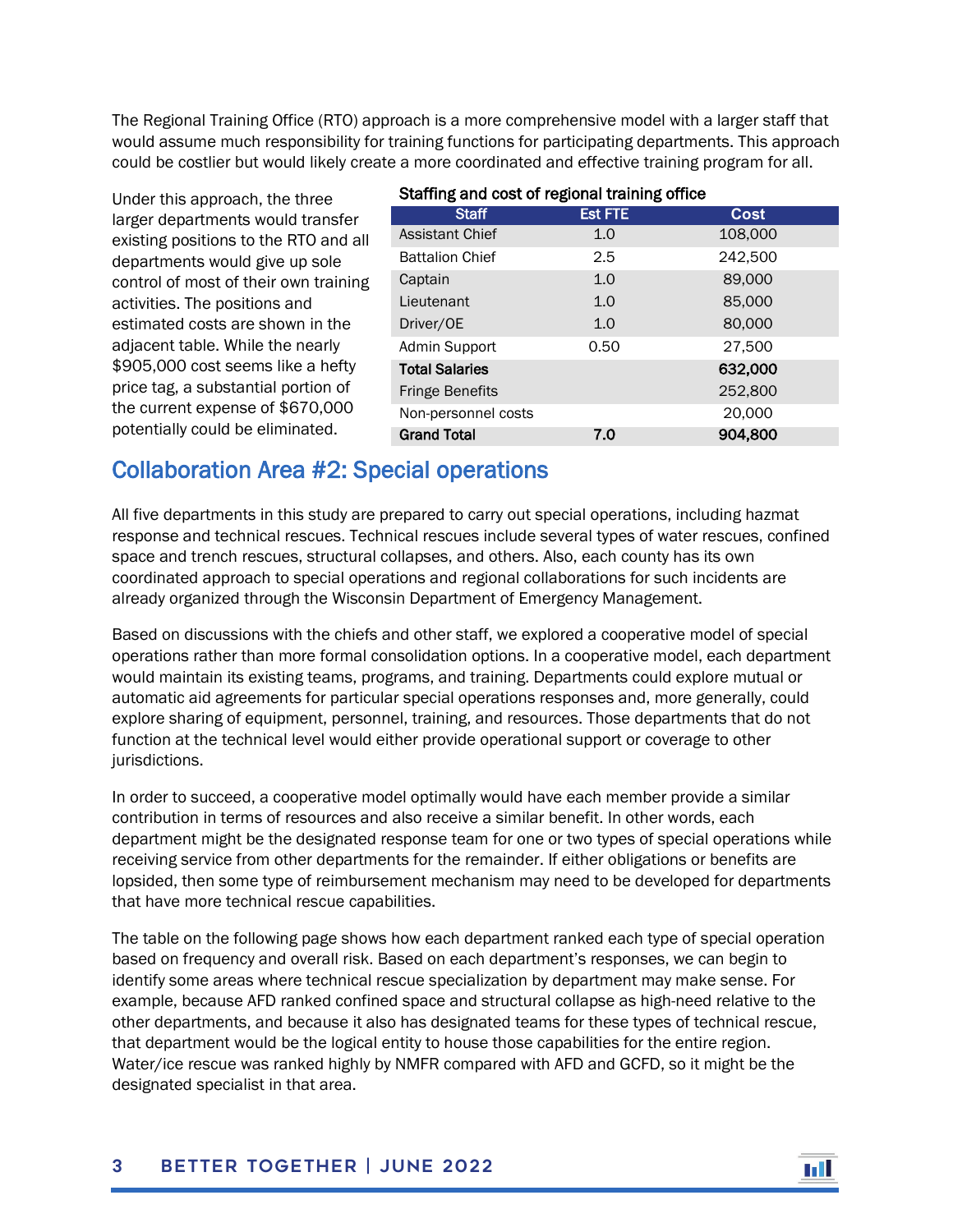The Regional Training Office (RTO) approach is a more comprehensive model with a larger staff that would assume much responsibility for training functions for participating departments. This approach could be costlier but would likely create a more coordinated and effective training program for all.

Under this approach, the three larger departments would transfer existing positions to the RTO and all departments would give up sole control of most of their own training activities. The positions and estimated costs are shown in the adjacent table. While the nearly \$905,000 cost seems like a hefty price tag, a substantial portion of the current expense of \$670,000 potentially could be eliminated.

#### Staffing and cost of regional training office

| <u>otaming ana ooot or rogional training omoo</u> |                |             |  |
|---------------------------------------------------|----------------|-------------|--|
| <b>Staff</b>                                      | <b>Est FTE</b> | <b>Cost</b> |  |
| <b>Assistant Chief</b>                            | 1.0            | 108,000     |  |
| <b>Battalion Chief</b>                            | 2.5            | 242,500     |  |
| Captain                                           | 1.0            | 89,000      |  |
| Lieutenant                                        | 1.0            | 85,000      |  |
| Driver/OE                                         | 1.0            | 80,000      |  |
| Admin Support                                     | 0.50           | 27,500      |  |
| <b>Total Salaries</b>                             |                | 632,000     |  |
| <b>Fringe Benefits</b>                            |                | 252,800     |  |
| Non-personnel costs                               |                | 20,000      |  |
| <b>Grand Total</b>                                | 7.0            | 904,800     |  |

## Collaboration Area #2: Special operations

All five departments in this study are prepared to carry out special operations, including hazmat response and technical rescues. Technical rescues include several types of water rescues, confined space and trench rescues, structural collapses, and others. Also, each county has its own coordinated approach to special operations and regional collaborations for such incidents are already organized through the Wisconsin Department of Emergency Management.

Based on discussions with the chiefs and other staff, we explored a cooperative model of special operations rather than more formal consolidation options. In a cooperative model, each department would maintain its existing teams, programs, and training. Departments could explore mutual or automatic aid agreements for particular special operations responses and, more generally, could explore sharing of equipment, personnel, training, and resources. Those departments that do not function at the technical level would either provide operational support or coverage to other jurisdictions.

In order to succeed, a cooperative model optimally would have each member provide a similar contribution in terms of resources and also receive a similar benefit. In other words, each department might be the designated response team for one or two types of special operations while receiving service from other departments for the remainder. If either obligations or benefits are lopsided, then some type of reimbursement mechanism may need to be developed for departments that have more technical rescue capabilities.

The table on the following page shows how each department ranked each type of special operation based on frequency and overall risk. Based on each department's responses, we can begin to identify some areas where technical rescue specialization by department may make sense. For example, because AFD ranked confined space and structural collapse as high-need relative to the other departments, and because it also has designated teams for these types of technical rescue, that department would be the logical entity to house those capabilities for the entire region. Water/ice rescue was ranked highly by NMFR compared with AFD and GCFD, so it might be the designated specialist in that area.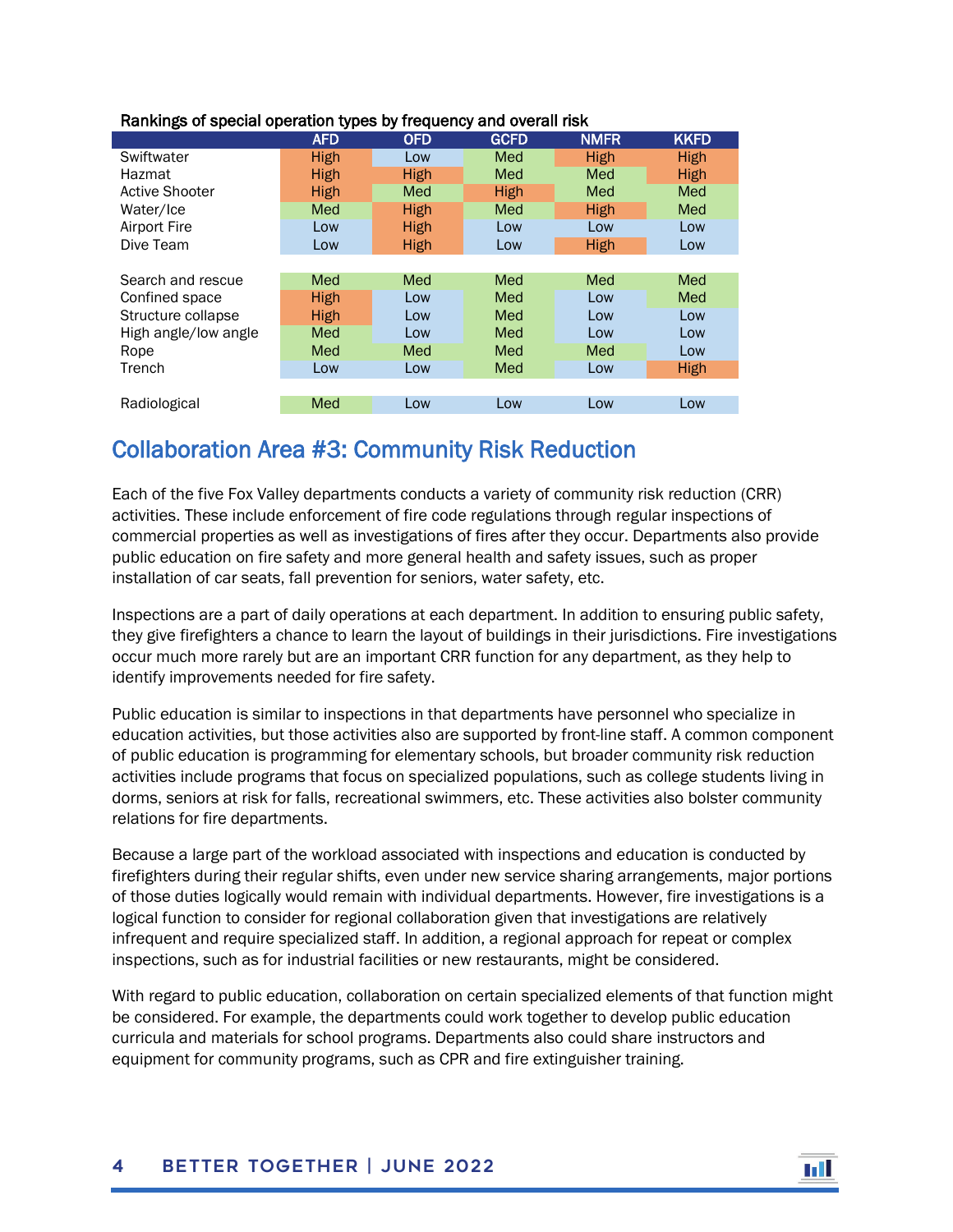|                       | <b>AFD</b>  | <b>OFD</b>  | <b>GCFD</b> | <b>NMFR</b> | <b>KKFD</b> |
|-----------------------|-------------|-------------|-------------|-------------|-------------|
| Swiftwater            | High        | Low         | Med         | High        | High        |
| Hazmat                | High        | High        | Med         | Med         | High        |
| <b>Active Shooter</b> | <b>High</b> | Med         | <b>High</b> | Med         | Med         |
| Water/Ice             | Med         | <b>High</b> | Med         | High        | Med         |
| Airport Fire          | Low         | <b>High</b> | Low         | Low         | Low         |
| Dive Team             | Low         | <b>High</b> | Low         | High        | Low         |
|                       |             |             |             |             |             |
| Search and rescue     | Med         | Med         | Med         | Med         | Med         |
| Confined space        | High        | Low         | Med         | Low         | Med         |
| Structure collapse    | High        | Low         | Med         | Low         | Low         |
| High angle/low angle  | Med         | Low         | Med         | Low         | Low         |
| Rope                  | Med         | Med         | Med         | Med         | Low         |
| Trench                | Low         | Low         | Med         | Low         | <b>High</b> |
|                       |             |             |             |             |             |
| Radiological          | Med         | Low         | Low         | Low         | Low         |

#### Rankings of special operation types by frequency and overall risk

## Collaboration Area #3: Community Risk Reduction

Each of the five Fox Valley departments conducts a variety of community risk reduction (CRR) activities. These include enforcement of fire code regulations through regular inspections of commercial properties as well as investigations of fires after they occur. Departments also provide public education on fire safety and more general health and safety issues, such as proper installation of car seats, fall prevention for seniors, water safety, etc.

Inspections are a part of daily operations at each department. In addition to ensuring public safety, they give firefighters a chance to learn the layout of buildings in their jurisdictions. Fire investigations occur much more rarely but are an important CRR function for any department, as they help to identify improvements needed for fire safety.

Public education is similar to inspections in that departments have personnel who specialize in education activities, but those activities also are supported by front-line staff. A common component of public education is programming for elementary schools, but broader community risk reduction activities include programs that focus on specialized populations, such as college students living in dorms, seniors at risk for falls, recreational swimmers, etc. These activities also bolster community relations for fire departments.

Because a large part of the workload associated with inspections and education is conducted by firefighters during their regular shifts, even under new service sharing arrangements, major portions of those duties logically would remain with individual departments. However, fire investigations is a logical function to consider for regional collaboration given that investigations are relatively infrequent and require specialized staff. In addition, a regional approach for repeat or complex inspections, such as for industrial facilities or new restaurants, might be considered.

With regard to public education, collaboration on certain specialized elements of that function might be considered. For example, the departments could work together to develop public education curricula and materials for school programs. Departments also could share instructors and equipment for community programs, such as CPR and fire extinguisher training.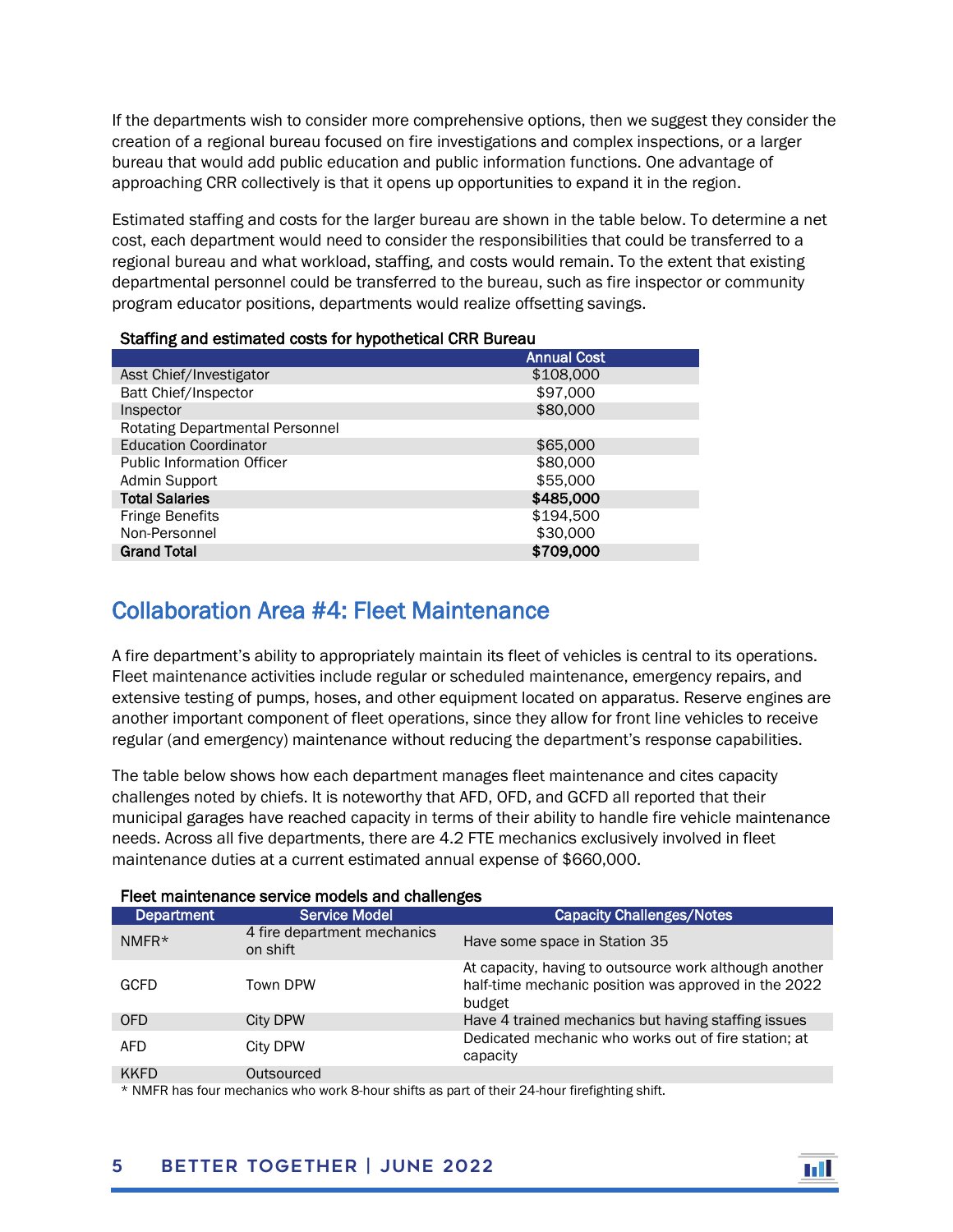If the departments wish to consider more comprehensive options, then we suggest they consider the creation of a regional bureau focused on fire investigations and complex inspections, or a larger bureau that would add public education and public information functions. One advantage of approaching CRR collectively is that it opens up opportunities to expand it in the region.

Estimated staffing and costs for the larger bureau are shown in the table below. To determine a net cost, each department would need to consider the responsibilities that could be transferred to a regional bureau and what workload, staffing, and costs would remain. To the extent that existing departmental personnel could be transferred to the bureau, such as fire inspector or community program educator positions, departments would realize offsetting savings.

#### Staffing and estimated costs for hypothetical CRR Bureau

|                                   | <b>Annual Cost</b> |
|-----------------------------------|--------------------|
| Asst Chief/Investigator           | \$108,000          |
| Batt Chief/Inspector              | \$97,000           |
| Inspector                         | \$80,000           |
| Rotating Departmental Personnel   |                    |
| <b>Education Coordinator</b>      | \$65,000           |
| <b>Public Information Officer</b> | \$80,000           |
| Admin Support                     | \$55,000           |
| <b>Total Salaries</b>             | \$485,000          |
| <b>Fringe Benefits</b>            | \$194,500          |
| Non-Personnel                     | \$30,000           |
| <b>Grand Total</b>                | \$709,000          |

## Collaboration Area #4: Fleet Maintenance

A fire department's ability to appropriately maintain its fleet of vehicles is central to its operations. Fleet maintenance activities include regular or scheduled maintenance, emergency repairs, and extensive testing of pumps, hoses, and other equipment located on apparatus. Reserve engines are another important component of fleet operations, since they allow for front line vehicles to receive regular (and emergency) maintenance without reducing the department's response capabilities.

The table below shows how each department manages fleet maintenance and cites capacity challenges noted by chiefs. It is noteworthy that AFD, OFD, and GCFD all reported that their municipal garages have reached capacity in terms of their ability to handle fire vehicle maintenance needs. Across all five departments, there are 4.2 FTE mechanics exclusively involved in fleet maintenance duties at a current estimated annual expense of \$660,000.

| Department  | <b>Service Model</b>                    | <b>Capacity Challenges/Notes</b>                                                                                         |  |  |
|-------------|-----------------------------------------|--------------------------------------------------------------------------------------------------------------------------|--|--|
| $NMFR*$     | 4 fire department mechanics<br>on shift | Have some space in Station 35                                                                                            |  |  |
| <b>GCFD</b> | Town DPW                                | At capacity, having to outsource work although another<br>half-time mechanic position was approved in the 2022<br>budget |  |  |
| <b>OFD</b>  | City DPW                                | Have 4 trained mechanics but having staffing issues                                                                      |  |  |
| <b>AFD</b>  | City DPW                                | Dedicated mechanic who works out of fire station; at<br>capacity                                                         |  |  |
| <b>KKFD</b> | Outsourced                              |                                                                                                                          |  |  |

#### Fleet maintenance service models and challenges

\* NMFR has four mechanics who work 8-hour shifts as part of their 24-hour firefighting shift.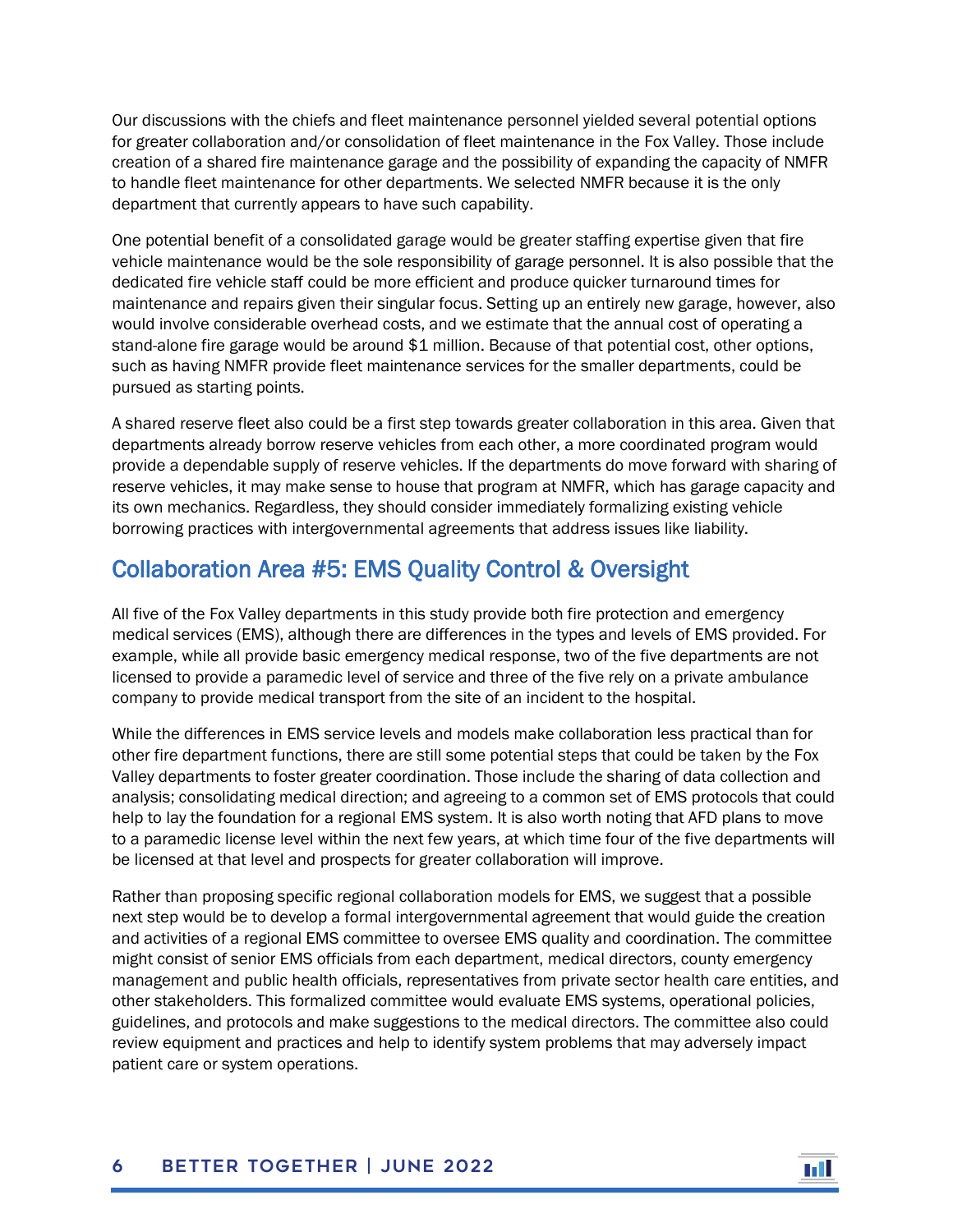Our discussions with the chiefs and fleet maintenance personnel yielded several potential options for greater collaboration and/or consolidation of fleet maintenance in the Fox Valley. Those include creation of a shared fire maintenance garage and the possibility of expanding the capacity of NMFR to handle fleet maintenance for other departments. We selected NMFR because it is the only department that currently appears to have such capability.

One potential benefit of a consolidated garage would be greater staffing expertise given that fire vehicle maintenance would be the sole responsibility of garage personnel. It is also possible that the dedicated fire vehicle staff could be more efficient and produce quicker turnaround times for maintenance and repairs given their singular focus. Setting up an entirely new garage, however, also would involve considerable overhead costs, and we estimate that the annual cost of operating a stand-alone fire garage would be around \$1 million. Because of that potential cost, other options, such as having NMFR provide fleet maintenance services for the smaller departments, could be pursued as starting points.

A shared reserve fleet also could be a first step towards greater collaboration in this area. Given that departments already borrow reserve vehicles from each other, a more coordinated program would provide a dependable supply of reserve vehicles. If the departments do move forward with sharing of reserve vehicles, it may make sense to house that program at NMFR, which has garage capacity and its own mechanics. Regardless, they should consider immediately formalizing existing vehicle borrowing practices with intergovernmental agreements that address issues like liability.

## Collaboration Area #5: EMS Quality Control & Oversight

All five of the Fox Valley departments in this study provide both fire protection and emergency medical services (EMS), although there are differences in the types and levels of EMS provided. For example, while all provide basic emergency medical response, two of the five departments are not licensed to provide a paramedic level of service and three of the five rely on a private ambulance company to provide medical transport from the site of an incident to the hospital.

While the differences in EMS service levels and models make collaboration less practical than for other fire department functions, there are still some potential steps that could be taken by the Fox Valley departments to foster greater coordination. Those include the sharing of data collection and analysis; consolidating medical direction; and agreeing to a common set of EMS protocols that could help to lay the foundation for a regional EMS system. It is also worth noting that AFD plans to move to a paramedic license level within the next few years, at which time four of the five departments will be licensed at that level and prospects for greater collaboration will improve.

Rather than proposing specific regional collaboration models for EMS, we suggest that a possible next step would be to develop a formal intergovernmental agreement that would guide the creation and activities of a regional EMS committee to oversee EMS quality and coordination. The committee might consist of senior EMS officials from each department, medical directors, county emergency management and public health officials, representatives from private sector health care entities, and other stakeholders. This formalized committee would evaluate EMS systems, operational policies, guidelines, and protocols and make suggestions to the medical directors. The committee also could review equipment and practices and help to identify system problems that may adversely impact patient care or system operations.